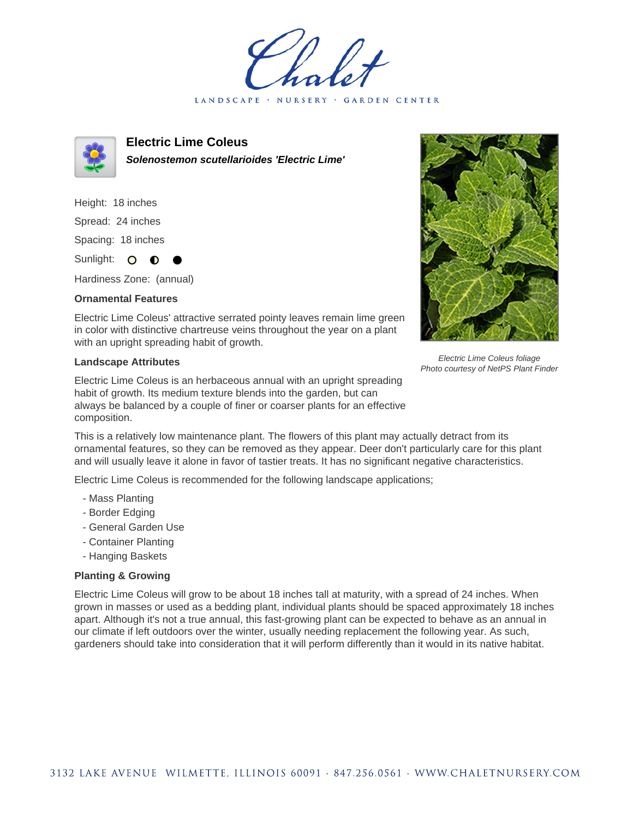LANDSCAPE · NURSERY · GARDEN CENTER



**Electric Lime Coleus Solenostemon scutellarioides 'Electric Lime'**

Height: 18 inches Spread: 24 inches Spacing: 18 inches Sunlight: O **O**  $\bullet$ 

Hardiness Zone: (annual)

## **Ornamental Features**

Electric Lime Coleus' attractive serrated pointy leaves remain lime green in color with distinctive chartreuse veins throughout the year on a plant with an upright spreading habit of growth.

## **Landscape Attributes**

Electric Lime Coleus is an herbaceous annual with an upright spreading habit of growth. Its medium texture blends into the garden, but can always be balanced by a couple of finer or coarser plants for an effective composition.



Electric Lime Coleus foliage Photo courtesy of NetPS Plant Finder

This is a relatively low maintenance plant. The flowers of this plant may actually detract from its ornamental features, so they can be removed as they appear. Deer don't particularly care for this plant and will usually leave it alone in favor of tastier treats. It has no significant negative characteristics.

Electric Lime Coleus is recommended for the following landscape applications;

- Mass Planting
- Border Edging
- General Garden Use
- Container Planting
- Hanging Baskets

## **Planting & Growing**

Electric Lime Coleus will grow to be about 18 inches tall at maturity, with a spread of 24 inches. When grown in masses or used as a bedding plant, individual plants should be spaced approximately 18 inches apart. Although it's not a true annual, this fast-growing plant can be expected to behave as an annual in our climate if left outdoors over the winter, usually needing replacement the following year. As such, gardeners should take into consideration that it will perform differently than it would in its native habitat.